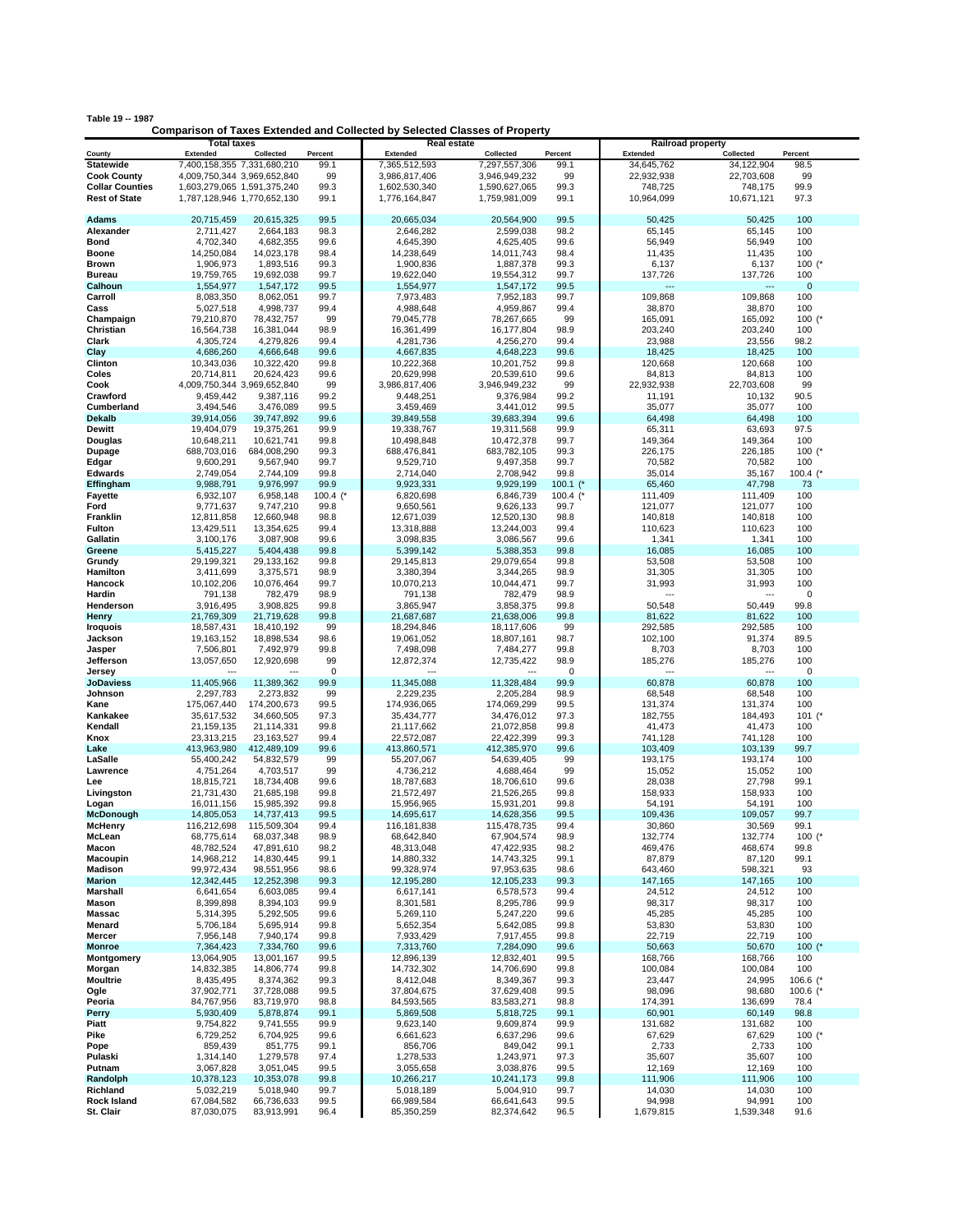| able 19 -- 1987 |                                                                     |  |  |
|-----------------|---------------------------------------------------------------------|--|--|
|                 | Comparison of Taxes Extended and Collected by Selected Classes of I |  |  |

| Table 19 -- 1987           |                                       |                             |                 | <b>Comparison of Taxes Extended and Collected by Selected Classes of Property</b> |                         |                 |                                             |                         |                          |
|----------------------------|---------------------------------------|-----------------------------|-----------------|-----------------------------------------------------------------------------------|-------------------------|-----------------|---------------------------------------------|-------------------------|--------------------------|
|                            | <b>Total taxes</b><br><b>Extended</b> | Collected                   |                 | Real estate<br><b>Extended</b>                                                    | Collected               |                 | <b>Railroad property</b><br><b>Extended</b> |                         |                          |
| County<br><b>Statewide</b> | 7,400,158,355 7,331,680,210           |                             | Percent<br>99.1 | 7,365,512,593                                                                     | 7,297,557,306           | Percent<br>99.1 | 34,645,762                                  | Collected<br>34,122,904 | Percent<br>98.5          |
| <b>Cook County</b>         | 4,009,750,344 3,969,652,840           |                             | 99              | 3,986,817,406                                                                     | 3,946,949,232           | 99              | 22,932,938                                  | 22,703,608              | 99                       |
| <b>Collar Counties</b>     | 1,603,279,065 1,591,375,240           |                             | 99.3            | 1,602,530,340                                                                     | 1,590,627,065           | 99.3            | 748,725                                     | 748,175                 | 99.9                     |
| <b>Rest of State</b>       | 1,787,128,946 1,770,652,130           |                             | 99.1            | 1,776,164,847                                                                     | 1,759,981,009           | 99.1            | 10,964,099                                  | 10,671,121              | 97.3                     |
| <b>Adams</b>               | 20,715,459                            | 20,615,325                  | 99.5            | 20,665,034                                                                        | 20,564,900              | 99.5            | 50,425                                      | 50,425                  | 100                      |
| Alexander                  | 2,711,427                             | 2,664,183                   | 98.3            | 2,646,282                                                                         | 2,599,038               | 98.2            | 65,145                                      | 65,145                  | 100                      |
| Bond                       | 4,702,340                             | 4,682,355                   | 99.6            | 4,645,390                                                                         | 4,625,405               | 99.6            | 56,949                                      | 56,949                  | 100                      |
| Boone                      | 14,250,084                            | 14,023,178                  | 98.4            | 14,238,649                                                                        | 14,011,743              | 98.4            | 11,435                                      | 11,435                  | 100                      |
| Brown                      | 1,906,973                             | 1,893,516                   | 99.3            | 1,900,836                                                                         | 1,887,378               | 99.3            | 6,137                                       | 6,137                   | 100 $(^*$                |
| <b>Bureau</b>              | 19,759,765                            | 19,692,038                  | 99.7            | 19,622,040                                                                        | 19,554,312              | 99.7            | 137,726                                     | 137,726                 | 100                      |
| Calhoun                    | 1,554,977                             | 1,547,172                   | 99.5            | 1,554,977                                                                         | 1,547,172               | 99.5            | $\overline{a}$                              |                         | $\mathbf 0$              |
| Carroll                    | 8,083,350                             | 8,062,051                   | 99.7            | 7,973,483                                                                         | 7,952,183               | 99.7            | 109,868                                     | 109,868                 | 100                      |
| Cass                       | 5,027,518                             | 4,998,737                   | 99.4            | 4,988,648                                                                         | 4,959,867               | 99.4            | 38,870                                      | 38,870                  | 100                      |
| Champaign                  | 79,210,870                            | 78,432,757                  | 99              | 79,045,778                                                                        | 78,267,665              | 99              | 165,091                                     | 165,092                 | $100$ (*                 |
| Christian                  | 16,564,738                            | 16,381,044                  | 98.9            | 16,361,499                                                                        | 16,177,804              | 98.9            | 203,240                                     | 203,240                 | 100                      |
| Clark                      | 4,305,724                             | 4,279,826                   | 99.4            | 4,281,736                                                                         | 4,256,270               | 99.4            | 23,988                                      | 23,556                  | 98.2                     |
| Clay                       | 4,686,260                             | 4,666,648                   | 99.6            | 4,667,835                                                                         | 4,648,223               | 99.6            | 18,425                                      | 18,425                  | 100                      |
| Clinton                    | 10,343,036                            | 10,322,420                  | 99.8            | 10,222,368                                                                        | 10,201,752              | 99.8            | 120,668                                     | 120,668                 | 100                      |
| Coles                      | 20,714,811                            | 20,624,423                  | 99.6            | 20,629,998                                                                        | 20,539,610              | 99.6            | 84,813                                      | 84,813                  | 100                      |
| Cook                       | 4,009,750,344 3,969,652,840           |                             | 99              | 3,986,817,406                                                                     | 3,946,949,232           | 99              | 22,932,938                                  | 22,703,608              | 99                       |
| Crawford                   | 9,459,442                             | 9,387,116                   | 99.2            | 9,448,251                                                                         | 9,376,984               | 99.2            | 11,191                                      | 10,132                  | 90.5                     |
| Cumberland                 | 3,494,546                             | 3,476,089                   | 99.5            | 3,459,469                                                                         | 3,441,012               | 99.5            | 35,077                                      | 35,077                  | 100                      |
| <b>Dekalb</b>              | 39,914,056                            | 39,747,892                  | 99.6            | 39,849,558                                                                        | 39,683,394              | 99.6            | 64,498                                      | 64,498                  | 100                      |
| Dewitt                     | 19,404,079                            | 19,375,261                  | 99.9            | 19,338,767                                                                        | 19,311,568              | 99.9            | 65,311                                      | 63,693                  | 97.5                     |
| Douglas                    | 10,648,211                            | 10,621,741                  | 99.8            | 10,498,848                                                                        | 10,472,378              | 99.7            | 149,364                                     | 149,364                 | 100                      |
| Dupage                     | 688,703,016                           | 684,008,290                 | 99.3            | 688,476,841                                                                       | 683,782,105             | 99.3            | 226,175                                     | 226,185                 | 100 $(*$                 |
| Edgar                      | 9,600,291                             | 9,567,940                   | 99.7<br>99.8    | 9,529,710                                                                         | 9,497,358               | 99.7<br>99.8    | 70,582<br>35,014                            | 70,582                  | 100<br>100.4 $($         |
| Edwards                    | 2,749,054<br>9,988,791                | 2,744,109<br>9,976,997      | 99.9            | 2,714,040<br>9,923,331                                                            | 2,708,942<br>9,929,199  | $100.1$ (*      | 65,460                                      | 35,167<br>47,798        | 73                       |
| Effingham<br>Fayette       | 6,932,107                             | 6,958,148                   | 100.4 $(*$      | 6,820,698                                                                         | 6,846,739               | 100.4 $($       | 111,409                                     | 111,409                 | 100                      |
| Ford                       | 9,771,637                             | 9,747,210                   | 99.8            | 9,650,561                                                                         | 9,626,133               | 99.7            | 121,077                                     | 121.077                 | 100                      |
| Franklin                   | 12,811,858                            | 12,660,948                  | 98.8            | 12,671,039                                                                        | 12,520,130              | 98.8            | 140,818                                     | 140,818                 | 100                      |
| Fulton                     | 13,429,511                            | 13,354,625                  | 99.4            | 13,318,888                                                                        | 13,244,003              | 99.4            | 110,623                                     | 110,623                 | 100                      |
| Gallatin                   | 3,100,176                             | 3,087,908                   | 99.6            | 3,098,835                                                                         | 3,086,567               | 99.6            | 1,341                                       | 1,341                   | 100                      |
| Greene                     | 5,415,227                             | 5,404,438                   | 99.8            | 5,399,142                                                                         | 5,388,353               | 99.8            | 16,085                                      | 16,085                  | 100                      |
| Grundy                     | 29,199,321                            | 29, 133, 162                | 99.8            | 29,145,813                                                                        | 29,079,654              | 99.8            | 53,508                                      | 53,508                  | 100                      |
| Hamilton                   | 3,411,699                             | 3,375,571                   | 98.9            | 3,380,394                                                                         | 3,344,265               | 98.9            | 31,305                                      | 31,305                  | 100                      |
| Hancock                    | 10,102,206                            | 10,076,464                  | 99.7            | 10,070,213                                                                        | 10,044,471              | 99.7            | 31,993                                      | 31,993                  | 100                      |
| Hardin                     | 791,138                               | 782,479                     | 98.9            | 791,138                                                                           | 782,479                 | 98.9            | ---                                         |                         | 0                        |
| Henderson                  | 3,916,495                             | 3,908,825                   | 99.8            | 3,865,947                                                                         | 3,858,375               | 99.8            | 50,548                                      | 50,449                  | 99.8                     |
| Henry                      | 21,769,309                            | 21,719,628                  | 99.8            | 21,687,687                                                                        | 21,638,006              | 99.8            | 81,622                                      | 81,622                  | 100                      |
| <b>Iroquois</b>            | 18,587,431                            | 18,410,192                  | 99              | 18,294,846                                                                        | 18,117,606              | 99              | 292,585                                     | 292,585                 | 100                      |
| Jackson                    | 19,163,152                            | 18,898,534                  | 98.6            | 19,061,052                                                                        | 18,807,161              | 98.7            | 102,100                                     | 91,374                  | 89.5                     |
| Jasper                     | 7,506,801                             | 7,492,979                   | 99.8            | 7,498,098                                                                         | 7,484,277               | 99.8            | 8,703                                       | 8,703                   | 100                      |
| Jefferson                  | 13,057,650                            | 12,920,698                  | 99              | 12,872,374                                                                        | 12,735,422              | 98.9            | 185,276                                     | 185,276                 | 100                      |
| Jersey                     |                                       |                             | 0               |                                                                                   |                         | 0               | $\overline{a}$                              | ---                     | 0                        |
| <b>JoDaviess</b>           | 11,405,966                            | 11,389,362                  | 99.9            | 11,345,088                                                                        | 11,328,484              | 99.9            | 60,878                                      | 60,878                  | 100                      |
| Johnson                    | 2,297,783                             | 2,273,832                   | 99              | 2,229,235                                                                         | 2,205,284               | 98.9            | 68,548                                      | 68,548                  | 100                      |
| Kane                       | 175,067,440                           | 174,200,673                 | 99.5            | 174,936,065                                                                       | 174,069,299             | 99.5            | 131,374                                     | 131,374                 | 100                      |
| Kankakee                   | 35,617,532                            | 34,660,505                  | 97.3            | 35,434,777                                                                        | 34,476,012              | 97.3            | 182,755                                     | 184,493                 | 101 $(*$                 |
| Kendall                    | 21,159,135                            | 21,114,331                  | 99.8            | 21,117,662                                                                        | 21,072,858              | 99.8            | 41,473                                      | 41,473                  | 100                      |
| Knox<br>Lake               | 23,313,215<br>413,963,980             | 23, 163, 527<br>412,489,109 | 99.4<br>99.6    | 22,572,087<br>413,860,571                                                         | 22,422,399              | 99.3<br>99.6    | 741,128<br>103,409                          | 741,128<br>103,139      | 100<br>99.7              |
|                            |                                       | 54,832,579                  | 99              |                                                                                   | 412,385,970             | 99              |                                             |                         |                          |
| LaSalle<br>Lawrence        | 55,400,242<br>4,751,264               | 4,703,517                   | 99              | 55,207,067<br>4,736,212                                                           | 54,639,405<br>4,688,464 | 99              | 193,175<br>15,052                           | 193,174<br>15,052       | 100<br>100               |
| Lee                        | 18,815,721                            | 18,734,408                  | 99.6            | 18,787,683                                                                        | 18,706,610              | 99.6            | 28,038                                      | 27,798                  | 99.1                     |
| Livingston                 | 21,731,430                            | 21,685,198                  | 99.8            | 21,572,497                                                                        | 21,526,265              | 99.8            | 158,933                                     | 158,933                 | 100                      |
| Logan                      | 16,011,156                            | 15,985,392                  | 99.8            | 15,956,965                                                                        | 15,931,201              | 99.8            | 54,191                                      | 54,191                  | 100                      |
| mcDonougn                  | 14,805,053                            | 14,737,413                  | 99.5            | 14,695,617                                                                        | 14,628,356              | 99.5            | 109,436                                     | 109,057                 | 99.7                     |
| <b>McHenry</b>             | 116,212,698                           | 115,509,304                 | 99.4            | 116,181,838                                                                       | 115,478,735             | 99.4            | 30,860                                      | 30,569                  | 99.1                     |
| McLean                     | 68,775,614                            | 68,037,348                  | 98.9            | 68,642,840                                                                        | 67,904,574              | 98.9            | 132,774                                     | 132,774                 | 100 $(^{*}$              |
| Macon                      | 48,782,524                            | 47,891,610                  | 98.2            | 48,313,048                                                                        | 47,422,935              | 98.2            | 469,476                                     | 468,674                 | 99.8                     |
| Macoupin                   | 14,968,212                            | 14,830,445                  | 99.1            | 14,880,332                                                                        | 14,743,325              | 99.1            | 87,879                                      | 87,120                  | 99.1                     |
| <b>Madison</b>             | 99,972,434                            | 98,551,956                  | 98.6            | 99,328,974                                                                        | 97,953,635              | 98.6            | 643,460                                     | 598,321                 | 93                       |
| <b>Marion</b>              | 12,342,445                            | 12,252,398                  | 99.3            | 12,195,280                                                                        | 12,105,233              | 99.3            | 147,165                                     | 147,165                 | 100                      |
| Marshall                   | 6,641,654                             | 6,603,085                   | 99.4            | 6,617,141                                                                         | 6,578,573               | 99.4            | 24,512                                      | 24,512                  | 100                      |
| Mason                      | 8,399,898                             | 8,394,103                   | 99.9            | 8,301,581                                                                         | 8,295,786               | 99.9            | 98,317                                      | 98,317                  | 100                      |
| <b>Massac</b>              | 5,314,395                             | 5,292,505                   | 99.6            | 5,269,110                                                                         | 5,247,220               | 99.6            | 45,285                                      | 45,285                  | 100                      |
| Menard                     | 5,706,184                             | 5,695,914                   | 99.8            | 5,652,354                                                                         | 5,642,085               | 99.8            | 53,830                                      | 53,830                  | 100                      |
| Mercer                     | 7,956,148                             | 7,940,174                   | 99.8            | 7,933,429                                                                         | 7,917,455               | 99.8            | 22,719                                      | 22,719                  | 100                      |
| <b>Monroe</b>              | 7,364,423                             | 7,334,760                   | 99.6            | 7,313,760                                                                         | 7,284,090               | 99.6            | 50,663                                      | 50,670                  | 100 $(*$                 |
| Montgomery                 | 13,064,905                            | 13,001,167                  | 99.5            | 12,896,139                                                                        | 12,832,401              | 99.5            | 168,766                                     | 168,766                 | 100                      |
| Morgan<br><b>Moultrie</b>  | 14,832,385                            | 14,806,774<br>8,374,362     | 99.8            | 14,732,302<br>8,412,048                                                           | 14,706,690<br>8,349,367 | 99.8<br>99.3    | 100,084                                     | 100,084                 | 100                      |
| Ogle                       | 8,435,495<br>37,902,771               | 37,728,088                  | 99.3<br>99.5    | 37,804,675                                                                        | 37,629,408              | 99.5            | 23,447<br>98,096                            | 24,995<br>98,680        | 106.6 $(*$<br>100.6 $(*$ |
| Peoria                     | 84,767,956                            | 83,719,970                  | 98.8            | 84,593,565                                                                        | 83,583,271              | 98.8            | 174,391                                     | 136,699                 | 78.4                     |
| Perry                      | 5,930,409                             | 5,878,874                   | 99.1            | 5,869,508                                                                         | 5,818,725               | 99.1            | 60,901                                      | 60,149                  | 98.8                     |
| Piatt                      | 9,754,822                             | 9,741,555                   | 99.9            | 9,623,140                                                                         | 9,609,874               | 99.9            | 131,682                                     | 131,682                 | 100                      |
| Pike                       | 6,729,252                             | 6,704,925                   | 99.6            | 6,661,623                                                                         | 6,637,296               | 99.6            | 67,629                                      | 67,629                  | 100 $(*$                 |
| Pope                       | 859,439                               | 851,775                     | 99.1            | 856,706                                                                           | 849,042                 | 99.1            | 2,733                                       | 2,733                   | 100                      |
| Pulaski                    | 1,314,140                             | 1,279,578                   | 97.4            | 1,278,533                                                                         | 1,243,971               | 97.3            | 35,607                                      | 35,607                  | 100                      |
| Putnam                     | 3,067,828                             | 3,051,045                   | 99.5            | 3,055,658                                                                         | 3,038,876               | 99.5            | 12,169                                      | 12,169                  | 100                      |
| Randolph                   | 10,378,123                            | 10,353,078                  | 99.8            | 10,266,217                                                                        | 10,241,173              | 99.8            | 111,906                                     | 111,906                 | 100                      |
| Richland                   | 5,032,219                             | 5,018,940                   | 99.7            | 5,018,189                                                                         | 5,004,910               | 99.7            | 14,030                                      | 14,030                  | 100                      |
| <b>Rock Island</b>         | 67,084,582                            | 66,736,633                  | 99.5            | 66,989,584                                                                        | 66,641,643              | 99.5            | 94,998                                      | 94,991                  | 100                      |
| St. Clair                  | 87,030,075                            | 83,913,991                  | 96.4            | 85,350,259                                                                        | 82,374,642              | 96.5            | 1,679,815                                   | 1,539,348               | 91.6                     |